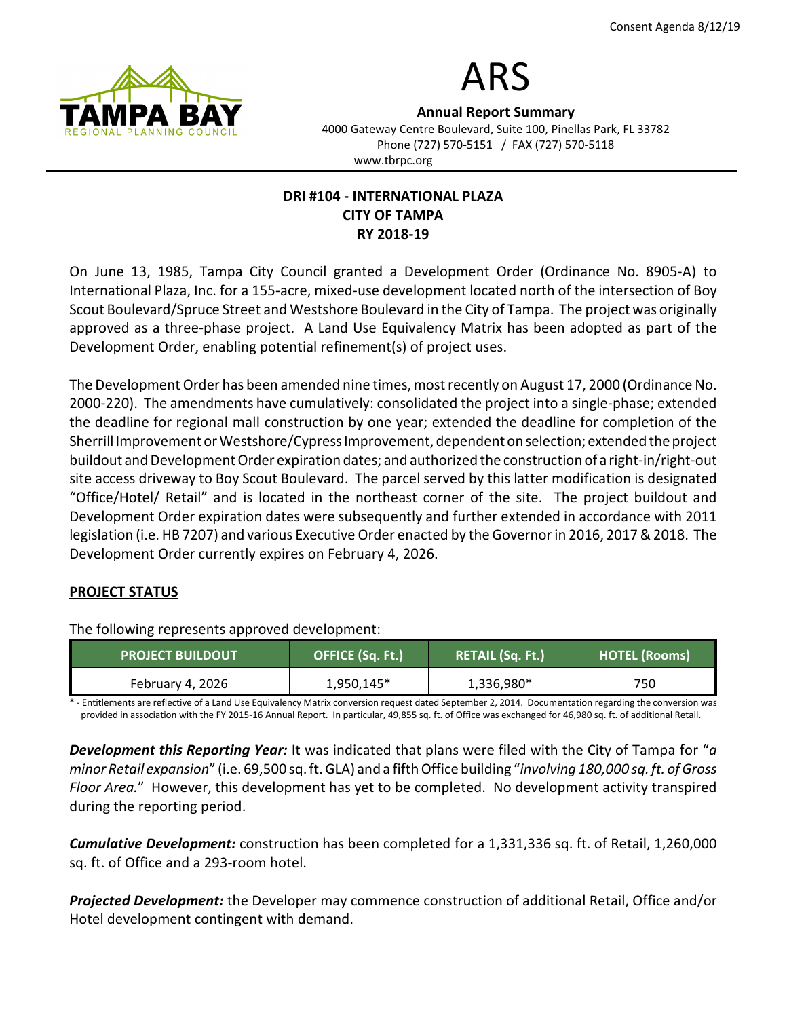

# ARS

Annual Report Summary 4000 Gateway Centre Boulevard, Suite 100, Pinellas Park, FL 33782 Phone (727) 570-5151 / FAX (727) 570-5118 www.tbrpc.org

## DRI #104 - INTERNATIONAL PLAZA CITY OF TAMPA RY 2018-19

On June 13, 1985, Tampa City Council granted a Development Order (Ordinance No. 8905-A) to International Plaza, Inc. for a 155-acre, mixed-use development located north of the intersection of Boy Scout Boulevard/Spruce Street and Westshore Boulevard in the City of Tampa. The project was originally approved as a three-phase project. A Land Use Equivalency Matrix has been adopted as part of the Development Order, enabling potential refinement(s) of project uses.

The Development Order has been amended nine times, most recently on August 17, 2000 (Ordinance No. 2000-220). The amendments have cumulatively: consolidated the project into a single-phase; extended the deadline for regional mall construction by one year; extended the deadline for completion of the Sherrill Improvement or Westshore/Cypress Improvement, dependent on selection; extended the project buildout and Development Order expiration dates; and authorized the construction of a right-in/right-out site access driveway to Boy Scout Boulevard. The parcel served by this latter modification is designated "Office/Hotel/ Retail" and is located in the northeast corner of the site. The project buildout and Development Order expiration dates were subsequently and further extended in accordance with 2011 legislation (i.e. HB 7207) and various Executive Order enacted by the Governor in 2016, 2017 & 2018. The Development Order currently expires on February 4, 2026.

## PROJECT STATUS

The following represents approved development:

| <b>PROJECT BUILDOUT</b> | OFFICE (Sq. Ft.) | RETAIL (Sq. Ft.) | <b>HOTEL (Rooms)</b> |
|-------------------------|------------------|------------------|----------------------|
| February 4, 2026        | 1,950,145*       | 1,336,980*       | 750                  |

Entitlements are reflective of a Land Use Equivalency Matrix conversion request dated September 2, 2014. Documentation regarding the conversion was provided in association with the FY 2015-16 Annual Report. In particular, 49,855 sq. ft. of Office was exchanged for 46,980 sq. ft. of additional Retail.

**Development this Reporting Year:** It was indicated that plans were filed with the City of Tampa for "a minor Retail expansion" (i.e. 69,500 sq. ft. GLA) and a fifth Office building "involving 180,000 sq. ft. of Gross Floor Area." However, this development has yet to be completed. No development activity transpired during the reporting period.

**Cumulative Development:** construction has been completed for a 1,331,336 sq. ft. of Retail, 1,260,000 sq. ft. of Office and a 293-room hotel.

**Projected Development:** the Developer may commence construction of additional Retail, Office and/or Hotel development contingent with demand.